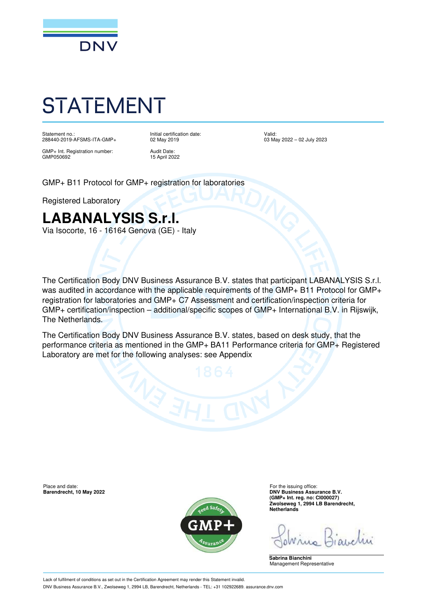

# STATEMENT

Statement no.: 288440-2019-AFSMS-ITA-GMP+ Initial certification date: 02 May 2019

GMP+ Int. Registration number: GMP050692

Audit Date: 15 April 2022 Valid: 03 May 2022 – 02 July 2023

GMP+ B11 Protocol for GMP+ registration for laboratories

Registered Laboratory

### **LABANALYSIS S.r.l.**

Via Isocorte, 16 - 16164 Genova (GE) - Italy

The Certification Body DNV Business Assurance B.V. states that participant LABANALYSIS S.r.l. was audited in accordance with the applicable requirements of the GMP+ B11 Protocol for GMP+ registration for laboratories and GMP+ C7 Assessment and certification/inspection criteria for GMP+ certification/inspection – additional/specific scopes of GMP+ International B.V. in Rijswijk, The Netherlands.

The Certification Body DNV Business Assurance B.V. states, based on desk study, that the performance criteria as mentioned in the GMP+ BA11 Performance criteria for GMP+ Registered Laboratory are met for the following analyses: see Appendix

**Barendrecht, 10 May 2022** 



Place and date:<br> **Place and date:** For the issuing office:<br> **Barendrecht. 10 May 2022**<br> **Place and date:** For the issuing office: **(GMP+ Int. reg. no: CI000027) Zwolseweg 1, 2994 LB Barendrecht, Netherlands**

**Sabrina Bianchini** Management Representative

Lack of fulfilment of conditions as set out in the Certification Agreement may render this Statement invalid. DNV Business Assurance B.V., Zwolseweg 1, 2994 LB, Barendrecht, Netherlands - TEL: +31 102922689. assurance.dnv.com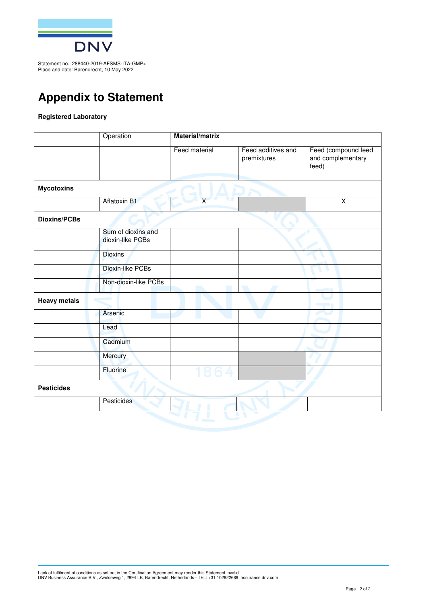

Statement no.: 288440-2019-AFSMS-ITA-GMP+ Place and date: Barendrecht, 10 May 2022

### **Appendix to Statement**

#### **Registered Laboratory**

| Feed material<br>Aflatoxin B1          | Feed additives and<br>premixtures<br>$\overline{\mathsf{x}}$ | Feed (compound feed<br>and complementary<br>feed)<br>$\overline{X}$ |
|----------------------------------------|--------------------------------------------------------------|---------------------------------------------------------------------|
|                                        |                                                              |                                                                     |
|                                        |                                                              |                                                                     |
|                                        |                                                              |                                                                     |
|                                        |                                                              |                                                                     |
| Sum of dioxins and<br>dioxin-like PCBs |                                                              |                                                                     |
|                                        |                                                              |                                                                     |
| Dioxin-like PCBs                       |                                                              |                                                                     |
| Non-dioxin-like PCBs                   |                                                              |                                                                     |
|                                        |                                                              |                                                                     |
|                                        |                                                              |                                                                     |
|                                        |                                                              |                                                                     |
|                                        |                                                              |                                                                     |
|                                        |                                                              |                                                                     |
|                                        |                                                              |                                                                     |
|                                        |                                                              |                                                                     |
|                                        |                                                              |                                                                     |
|                                        |                                                              |                                                                     |